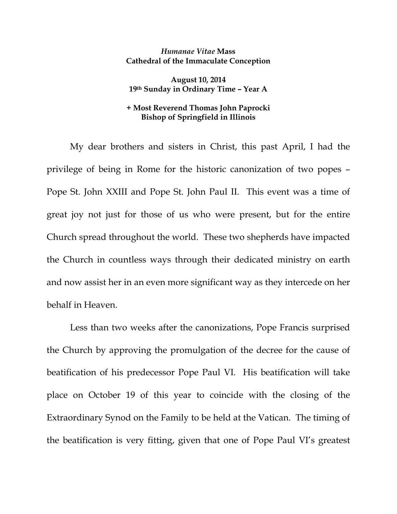## *Humanae Vitae* **Mass Cathedral of the Immaculate Conception**

**August 10, 2014 19th Sunday in Ordinary Time – Year A** 

## **+ Most Reverend Thomas John Paprocki Bishop of Springfield in Illinois**

My dear brothers and sisters in Christ, this past April, I had the privilege of being in Rome for the historic canonization of two popes – Pope St. John XXIII and Pope St. John Paul II. This event was a time of great joy not just for those of us who were present, but for the entire Church spread throughout the world. These two shepherds have impacted the Church in countless ways through their dedicated ministry on earth and now assist her in an even more significant way as they intercede on her behalf in Heaven.

Less than two weeks after the canonizations, Pope Francis surprised the Church by approving the promulgation of the decree for the cause of beatification of his predecessor Pope Paul VI. His beatification will take place on October 19 of this year to coincide with the closing of the Extraordinary Synod on the Family to be held at the Vatican. The timing of the beatification is very fitting, given that one of Pope Paul VI's greatest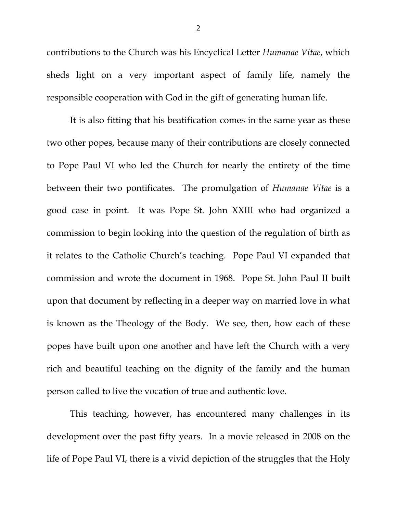contributions to the Church was his Encyclical Letter *Humanae Vitae*, which sheds light on a very important aspect of family life, namely the responsible cooperation with God in the gift of generating human life.

It is also fitting that his beatification comes in the same year as these two other popes, because many of their contributions are closely connected to Pope Paul VI who led the Church for nearly the entirety of the time between their two pontificates. The promulgation of *Humanae Vitae* is a good case in point. It was Pope St. John XXIII who had organized a commission to begin looking into the question of the regulation of birth as it relates to the Catholic Church's teaching. Pope Paul VI expanded that commission and wrote the document in 1968. Pope St. John Paul II built upon that document by reflecting in a deeper way on married love in what is known as the Theology of the Body. We see, then, how each of these popes have built upon one another and have left the Church with a very rich and beautiful teaching on the dignity of the family and the human person called to live the vocation of true and authentic love.

This teaching, however, has encountered many challenges in its development over the past fifty years. In a movie released in 2008 on the life of Pope Paul VI, there is a vivid depiction of the struggles that the Holy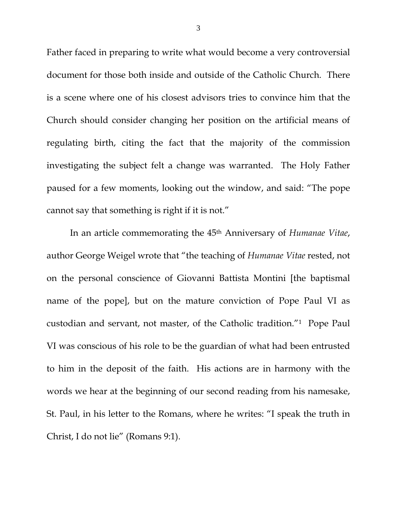Father faced in preparing to write what would become a very controversial document for those both inside and outside of the Catholic Church. There is a scene where one of his closest advisors tries to convince him that the Church should consider changing her position on the artificial means of regulating birth, citing the fact that the majority of the commission investigating the subject felt a change was warranted. The Holy Father paused for a few moments, looking out the window, and said: "The pope cannot say that something is right if it is not."

In an article commemorating the 45th Anniversary of *Humanae Vitae*, author George Weigel wrote that "the teaching of *Humanae Vitae* rested, not on the personal conscience of Giovanni Battista Montini [the baptismal name of the pope], but on the mature conviction of Pope Paul VI as custodian and servant, not master, of the Catholic tradition."1 Pope Paul VI was conscious of his role to be the guardian of what had been entrusted to him in the deposit of the faith. His actions are in harmony with the words we hear at the beginning of our second reading from his namesake, St. Paul, in his letter to the Romans, where he writes: "I speak the truth in Christ, I do not lie" (Romans 9:1).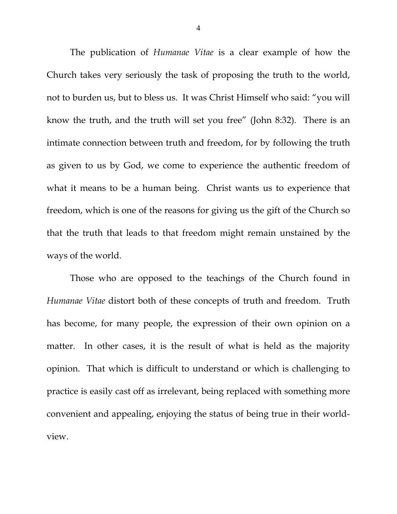The publication of *Humanae Vitae* is a clear example of how the Church takes very seriously the task of proposing the truth to the world, not to burden us, but to bless us. It was Christ Himself who said: "you will know the truth, and the truth will set you free" (John 8:32). There is an intimate connection between truth and freedom, for by following the truth as given to us by God, we come to experience the authentic freedom of what it means to be a human being. Christ wants us to experience that freedom, which is one of the reasons for giving us the gift of the Church so that the truth that leads to that freedom might remain unstained by the ways of the world.

Those who are opposed to the teachings of the Church found in *Humanae Vitae* distort both of these concepts of truth and freedom. Truth has become, for many people, the expression of their own opinion on a matter. In other cases, it is the result of what is held as the majority opinion. That which is difficult to understand or which is challenging to practice is easily cast off as irrelevant, being replaced with something more convenient and appealing, enjoying the status of being true in their worldview.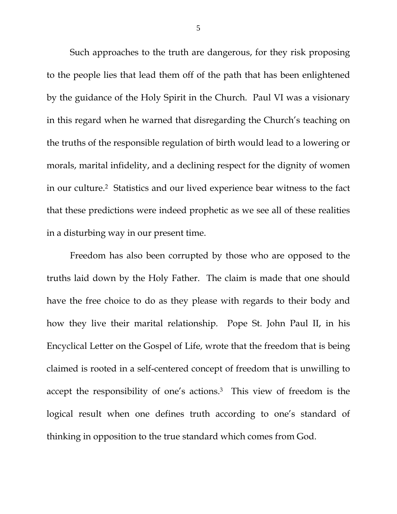Such approaches to the truth are dangerous, for they risk proposing to the people lies that lead them off of the path that has been enlightened by the guidance of the Holy Spirit in the Church. Paul VI was a visionary in this regard when he warned that disregarding the Church's teaching on the truths of the responsible regulation of birth would lead to a lowering or morals, marital infidelity, and a declining respect for the dignity of women in our culture.2 Statistics and our lived experience bear witness to the fact that these predictions were indeed prophetic as we see all of these realities in a disturbing way in our present time.

Freedom has also been corrupted by those who are opposed to the truths laid down by the Holy Father. The claim is made that one should have the free choice to do as they please with regards to their body and how they live their marital relationship. Pope St. John Paul II, in his Encyclical Letter on the Gospel of Life, wrote that the freedom that is being claimed is rooted in a self-centered concept of freedom that is unwilling to accept the responsibility of one's actions.3 This view of freedom is the logical result when one defines truth according to one's standard of thinking in opposition to the true standard which comes from God.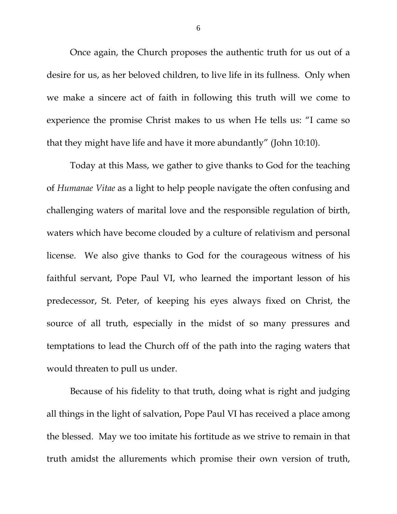Once again, the Church proposes the authentic truth for us out of a desire for us, as her beloved children, to live life in its fullness. Only when we make a sincere act of faith in following this truth will we come to experience the promise Christ makes to us when He tells us: "I came so that they might have life and have it more abundantly" (John 10:10).

Today at this Mass, we gather to give thanks to God for the teaching of *Humanae Vitae* as a light to help people navigate the often confusing and challenging waters of marital love and the responsible regulation of birth, waters which have become clouded by a culture of relativism and personal license. We also give thanks to God for the courageous witness of his faithful servant, Pope Paul VI, who learned the important lesson of his predecessor, St. Peter, of keeping his eyes always fixed on Christ, the source of all truth, especially in the midst of so many pressures and temptations to lead the Church off of the path into the raging waters that would threaten to pull us under.

Because of his fidelity to that truth, doing what is right and judging all things in the light of salvation, Pope Paul VI has received a place among the blessed. May we too imitate his fortitude as we strive to remain in that truth amidst the allurements which promise their own version of truth,

6